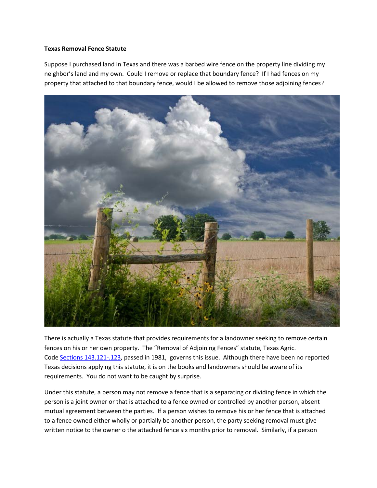## **Texas Removal Fence Statute**

Suppose I purchased land in Texas and there was a barbed wire fence on the property line dividing my neighbor's land and my own. Could I remove or replace that boundary fence? If I had fences on my property that attached to that boundary fence, would I be allowed to remove those adjoining fences?



There is actually a Texas statute that provides requirements for a landowner seeking to remove certain fences on his or her own property. The "Removal of Adjoining Fences" statute, Texas Agric. Code [Sections 143.121-.123,](https://statutes.capitol.texas.gov/docs/AG/htm/AG.143.htm) passed in 1981, governs this issue. Although there have been no reported Texas decisions applying this statute, it is on the books and landowners should be aware of its requirements. You do not want to be caught by surprise.

Under this statute, a person may not remove a fence that is a separating or dividing fence in which the person is a joint owner or that is attached to a fence owned or controlled by another person, absent mutual agreement between the parties. If a person wishes to remove his or her fence that is attached to a fence owned either wholly or partially be another person, the party seeking removal must give written notice to the owner o the attached fence six months prior to removal. Similarly, if a person